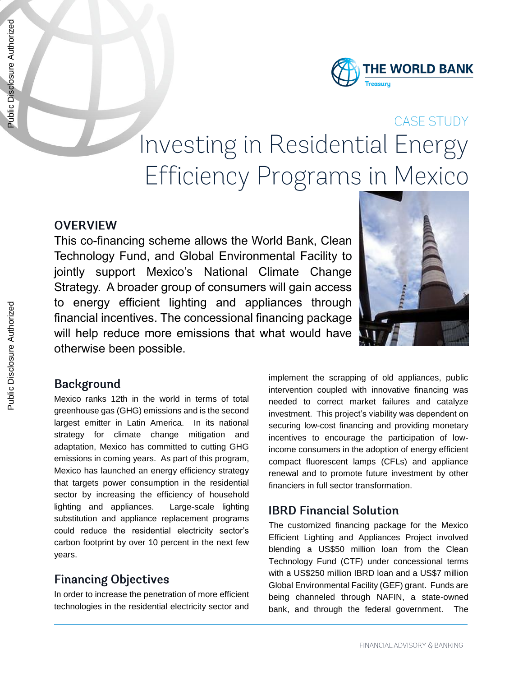

# **CASE STUDY** Investing in Residential Energy Efficiency Programs in Mexico

# **OVERVIEW**

This co-financing scheme allows the World Bank, Clean Technology Fund, and Global Environmental Facility to jointly support Mexico's National Climate Change Strategy. A broader group of consumers will gain access to energy efficient lighting and appliances through financial incentives. The concessional financing package will help reduce more emissions that what would have otherwise been possible.



# **Background**

Mexico ranks 12th in the world in terms of total greenhouse gas (GHG) emissions and is the second largest emitter in Latin America. In its national strategy for climate change mitigation and adaptation, Mexico has committed to cutting GHG emissions in coming years. As part of this program, Mexico has launched an energy efficiency strategy that targets power consumption in the residential sector by increasing the efficiency of household lighting and appliances. Large-scale lighting substitution and appliance replacement programs could reduce the residential electricity sector's carbon footprint by over 10 percent in the next few years.

# **Financing Objectives**

In order to increase the penetration of more efficient technologies in the residential electricity sector and

implement the scrapping of old appliances, public intervention coupled with innovative financing was needed to correct market failures and catalyze investment. This project's viability was dependent on securing low-cost financing and providing monetary incentives to encourage the participation of lowincome consumers in the adoption of energy efficient compact fluorescent lamps (CFLs) and appliance renewal and to promote future investment by other financiers in full sector transformation.

#### **IBRD Financial Solution**

The customized financing package for the Mexico Efficient Lighting and Appliances Project involved blending a US\$50 million loan from the Clean Technology Fund (CTF) under concessional terms with a US\$250 million IBRD loan and a US\$7 million Global Environmental Facility (GEF) grant. Funds are being channeled through NAFIN, a state-owned bank, and through the federal government. The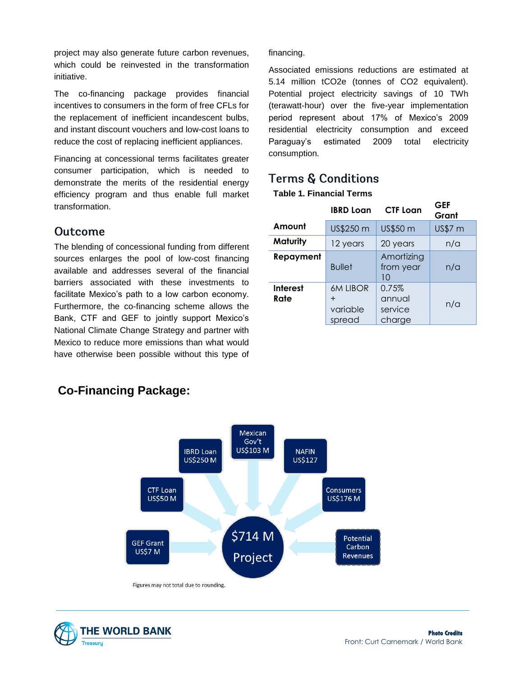project may also generate future carbon revenues, which could be reinvested in the transformation initiative.

The co-financing package provides financial incentives to consumers in the form of free CFLs for the replacement of inefficient incandescent bulbs, and instant discount vouchers and low-cost loans to reduce the cost of replacing inefficient appliances.

Financing at concessional terms facilitates greater consumer participation, which is needed to demonstrate the merits of the residential energy efficiency program and thus enable full market transformation.

#### Outcome

The blending of concessional funding from different sources enlarges the pool of low-cost financing available and addresses several of the financial barriers associated with these investments to facilitate Mexico's path to a low carbon economy. Furthermore, the co-financing scheme allows the Bank, CTF and GEF to jointly support Mexico's National Climate Change Strategy and partner with Mexico to reduce more emissions than what would have otherwise been possible without this type of

financing.

Associated emissions reductions are estimated at 5.14 million tCO2e (tonnes of CO2 equivalent). Potential project electricity savings of 10 TWh (terawatt-hour) over the five-year implementation period represent about 17% of Mexico's 2009 residential electricity consumption and exceed Paraguay's estimated 2009 total electricity consumption.

# **Terms & Conditions**

#### **Table 1. Financial Terms**

|                         | <b>IBRD Loan</b>                                | <b>CTF Loan</b>                      | <b>GEF</b><br>Grant |
|-------------------------|-------------------------------------------------|--------------------------------------|---------------------|
| Amount                  | US\$250 m                                       | US\$50 m                             | US\$7 m             |
| Maturity                | 12 years                                        | 20 years                             | n/a                 |
| Repayment               | <b>Bullet</b>                                   | Amortizing<br>from year<br>10        | n/a                 |
| <b>Interest</b><br>Rate | <b>6M LIBOR</b><br>$\div$<br>variable<br>spread | 0.75%<br>annual<br>service<br>charge | n/a                 |



# **Co-Financing Package:**